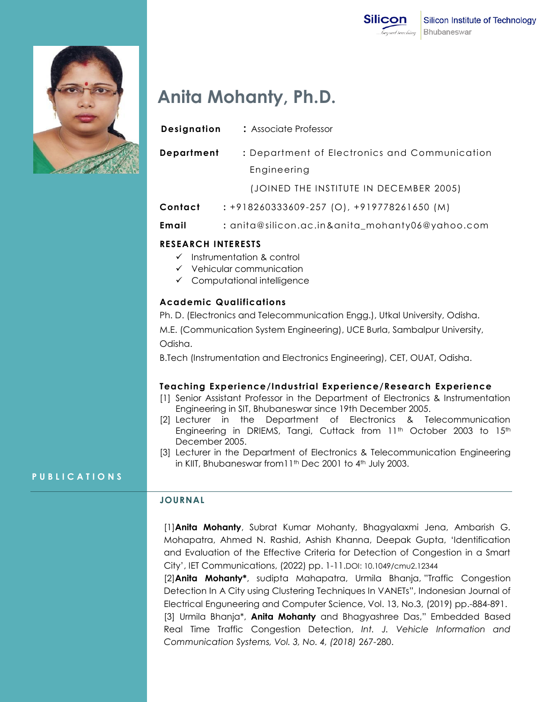

# **Anita Mohanty, Ph.D.**

| Designation | : Associate Professor                            |
|-------------|--------------------------------------------------|
| Department  | : Department of Electronics and Communication    |
|             | Engineering                                      |
|             | (JOINED THE INSTITUTE IN DECEMBER 2005)          |
| Contact     | $: +918260333609 - 257$ (O), $+919778261650$ (M) |

**Email :** anita@silicon.ac.in&anita\_mohanty06@yahoo.com

# **RESEARCH INTERESTS**

- $\checkmark$  Instrumentation & control
- $\checkmark$  Vehicular communication
- $\checkmark$  Computational intelligence

# **Academic Qualifications**

Ph. D. (Electronics and Telecommunication Engg.), Utkal University, Odisha. M.E. (Communication System Engineering), UCE Burla, Sambalpur University, Odisha.

B.Tech (Instrumentation and Electronics Engineering), CET, OUAT, Odisha.

# **Teaching Experience/Industrial Experience/Research Experience**

- [1] Senior Assistant Professor in the Department of Electronics & Instrumentation Engineering in SIT, Bhubaneswar since 19th December 2005.
- [2] Lecturer in the Department of Electronics & Telecommunication Engineering in DRIEMS, Tangi, Cuttack from  $11<sup>th</sup>$  October 2003 to  $15<sup>th</sup>$ December 2005.
- [3] Lecturer in the Department of Electronics & Telecommunication Engineering in KIIT, Bhubaneswar from 11<sup>th</sup> Dec 2001 to 4<sup>th</sup> July 2003.

# **P U B L I C A T I O N S**

# **JOURNAL**

[1]**Anita Mohanty**, Subrat Kumar Mohanty, Bhagyalaxmi Jena, Ambarish G. Mohapatra, Ahmed N. Rashid, Ashish Khanna, Deepak Gupta, "Identification and Evaluation of the Effective Criteria for Detection of Congestion in a Smart City", IET Communications, (2022) pp. 1-11.DOI: 10.1049/cmu2.12344

[2]**Anita Mohanty\***, sudipta Mahapatra, Urmila Bhanja, "Traffic Congestion Detection In A City using Clustering Techniques In VANETs", Indonesian Journal of Electrical Enguneering and Computer Science, Vol. 13, No.3, (2019) pp.-884-891.

[3] Urmila Bhanja\*, **Anita Mohanty** and Bhagyashree Das," Embedded Based Real Time Traffic Congestion Detection, *Int. J. Vehicle Information and Communication Systems, Vol. 3, No. 4, (2018)* 267-280.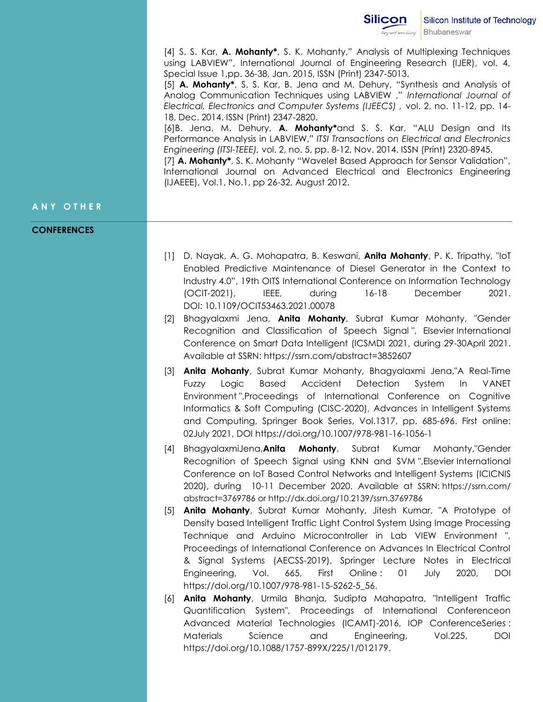[4] S. S. Kar, **A. Mohanty\***, S. K. Mohanty," Analysis of Multiplexing Techniques using LABVIEW", International Journal of Engineering Research (IJER), vol. 4, Special Issue 1,pp. 36-38, Jan. 2015, ISSN (Print) 2347-5013.

[5] **A. Mohanty\***, S. S. Kar, B. Jena and M. Dehury, "Synthesis and Analysis of Analog Communication Techniques using LABVIEW ," *International Journal of Electrical, Electronics and Computer Systems (IJEECS) ,* vol. 2, no. 11-12, pp. 14- 18, Dec. 2014. ISSN (Print) 2347-2820.

[6]B. Jena, M. Dehury, **A. Mohanty\***and S. S. Kar, "ALU Design and Its Performance Analysis in LABVIEW," *ITSI Transactions on Electrical and Electronics Engineering (ITSI-TEEE),* vol. 2, no. 5, pp. 8-12, Nov. 2014. ISSN (Print) 2320-8945.

[7] **A. Mohanty\***, S. K. Mohanty "Wavelet Based Approach for Sensor Validation", International Journal on Advanced Electrical and Electronics Engineering (IJAEEE), Vol.1, No.1, pp 26-32, August 2012.

## **A N Y O T H E R**

#### **CONFERENCES**

- [1] D. Nayak, A. G. Mohapatra, B. Keswani, **Anita Mohanty**, P. K. Tripathy, "IoT Enabled Predictive Maintenance of Diesel Generator in the Context to Industry 4.0", 19th OITS International Conference on Information Technology (OCIT-2021), IEEE, during 16-18 December 2021. DOI: 10.1109/OCIT53463.2021.00078
- [2] Bhagyalaxmi Jena, **Anita Mohanty**, Subrat Kumar Mohanty, "Gender Recognition and Classification of Speech Signal ", Elsevier International Conference on Smart Data Intelligent (ICSMDI 2021, during 29-30April 2021. Available at SSRN: https://ssrn.com/abstract=3852607
- [3] **Anita Mohanty**, Subrat Kumar Mohanty, Bhagyalaxmi Jena,"A Real-Time Fuzzy Logic Based Accident Detection System In VANET Environment ",Proceedings of International Conference on Cognitive Informatics & Soft Computing (CISC-2020), Advances in Intelligent Systems and Computing, Springer Book Series, Vol.1317, pp. 685-696. First online: 02July 2021, DOI https://doi.org/10.1007/978-981-16-1056-1
- [4] BhagyalaxmiJena,**Anita Mohanty**, Subrat Kumar Mohanty,"Gender Recognition of Speech Signal using KNN and SVM ",Elsevier International Conference on IoT Based Control Networks and Intelligent Systems (ICICNIS 2020), during 10-11 December 2020. Available at SSRN: https://ssrn.com/ abstract=3769786 or http://dx.doi.org/10.2139/ssrn.3769786
- [5] **Anita Mohanty**, Subrat Kumar Mohanty, Jitesh Kumar, "A Prototype of Density based Intelligent Traffic Light Control System Using Image Processing Technique and Arduino Microcontroller in Lab VIEW Environment ", Proceedings of International Conference on Advances In Electrical Control & Signal Systems (AECSS-2019), Springer Lecture Notes in Electrical Engineering, Vol. 665, First Online : 01 July 2020, DOI https://doi.org/10.1007/978-981-15-5262-5\_56.
- [6] **Anita Mohanty**, Urmila Bhanja, Sudipta Mahapatra, "Intelligent Traffic Quantification System", Proceedings of International Conferenceon Advanced Material Technologies (ICAMT)-2016, IOP ConferenceSeries : Materials Science and Engineering, Vol.225, DOI https://doi.org/10.1088/1757-899X/225/1/012179.